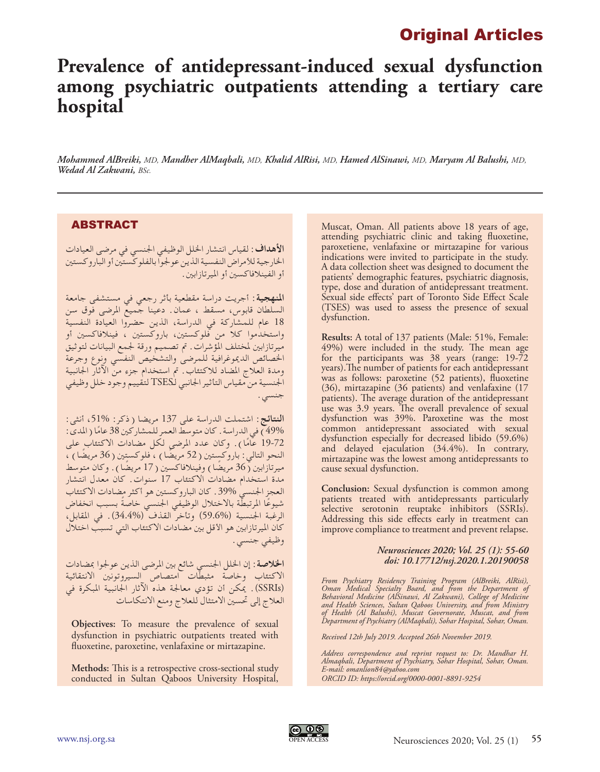# Original Articles

# **Prevalence of antidepressant-induced sexual dysfunction among psychiatric outpatients attending a tertiary care hospital**

*Mohammed AlBreiki, MD, Mandher AlMaqbali, MD, Khalid AlRisi, MD, Hamed AlSinawi, MD, Maryam Al Balushi, MD, Wedad Al Zakwani, BSc.*

## ABSTRACT

**األهداف:** لقياس انتشار اخللل الوظيفي اجلنسي في مرضى العيادات الخارجية للأمراض النفسية الذين عولجوا بالفلوكستين أو الباروكستين أو الفينالفاكسني أو امليرتازابني.

**املنهجية:** أجريت دراسة مقطعية بأثر رجعي في مستشفى جامعة السلطان قابوس، مسقط ، عمان. دعينا جميع املرضى فوق سن 18 عام للمشاركة في الدراسة، الذين حضروا العيادة النفسية واستخدموا كال من فلوكستني، باروكستني ، فينالفاكسني أو ميرتازابني ملختلف املؤشرات. مت تصميم ورقة جلمع البيانات لتوثيق اخلصائص الدميوغرافية للمرضى والتشخيص النفسي ونوع وجرعة ومدة العالج املضاد لالكتئاب. مت استخدام جزء من اآلثار اجلانبية اجلنسية من مقياس التأثير اجلانبي لـTSES لتقييم وجود خلل وظيفي جنسي.

**النتائج:** اشتملت الدراسة على 137 مريضا )ذكر: ،51% أنثى: 49%) في الدراسة . كان متوسط العمر للمشاركين 38 عامًا ( المدى :<br>-- 22 قي 19-72 عامًا). وكان عدد المرضى لكل مضادات الاكتئاب على<br>... النحو التالي: باروكستين ( 52 مريضًا ) ، فلوكستين ( 36 مريضًا ) ، ميرتازابين (36 مريضًا) وفُينلافاكسين ( 17 مريضًا ). وكان متوسط مدة استخدام مضادات االكتئاب 17 سنوات. كان معدل انتشار العجز الجنسي 39%. كان الباروكستين هو أكثر مضادات الاكتئاب شيوعُا المرتبطة بالاختلال الوظيفي الجنسيّ خاصةً بسبب انخفاض<br>الرغبة الجنسية (%59.6) وتأخر القذف (%34.4). في المقابل، كان الميرتازابين هو الأقل بين مضادات الاكتئاب التي تسبب اختلال وظيفي جنسي.

**الخلاصة**: إن الخلل الجنسي شائع بين المرضى الذين عولجوا بمضادات االكتئاب وخاصة مثبطات امتصاص السيروتونني االنتقائية )SSRIs). ميكن أن تؤدي معاجلة هذه اآلثار اجلانبية املبكرة في العالج إلى حتسني االمتثال للعالج ومنع االنتكاسات

**Objectives:** To measure the prevalence of sexual dysfunction in psychiatric outpatients treated with fluoxetine, paroxetine, venlafaxine or mirtazapine.

**Methods:** This is a retrospective cross-sectional study conducted in Sultan Qaboos University Hospital, Muscat, Oman. All patients above 18 years of age, attending psychiatric clinic and taking fluoxetine, paroxetiene, venlafaxine or mirtazapine for various indications were invited to participate in the study. A data collection sheet was designed to document the patients' demographic features, psychiatric diagnosis, type, dose and duration of antidepressant treatment. Sexual side effects' part of Toronto Side Effect Scale (TSES) was used to assess the presence of sexual dysfunction.

**Results:** A total of 137 patients (Male: 51%, Female: 49%) were included in the study. The mean age for the participants was 38 years (range: 19-72 years).The number of patients for each antidepressant was as follows: paroxetine (52 patients), fluoxetine (36), mirtazapine (36 patients) and venlafaxine (17 patients). The average duration of the antidepressant use was 3.9 years. The overall prevalence of sexual dysfunction was 39%. Paroxetine was the most common antidepressant associated with sexual dysfunction especially for decreased libido (59.6%) and delayed ejaculation (34.4%). In contrary, mirtazapine was the lowest among antidepressants to cause sexual dysfunction.

**Conclusion:** Sexual dysfunction is common among patients treated with antidepressants particularly selective serotonin reuptake inhibitors (SSRIs). Addressing this side effects early in treatment can improve compliance to treatment and prevent relapse.

### *Neurosciences 2020; Vol. 25 (1): 55-60 doi: 10.17712/nsj.2020.1.20190058*

*From Psychiatry Residency Training Program (AlBreiki, AlRisi), Oman Medical Specialty Board, and from the Department of Behavioral Medicine (AlSinawi, Al Zakwani), College of Medicine and Health Sciences, Sultan Qaboos University, and from Ministry of Health (Al Balushi), Muscat Governorate, Muscat, and from Department of Psychiatry (AlMaqbali), Sohar Hospital, Sohar, Oman.*

*Received 12th July 2019. Accepted 26th November 2019.*

*Address correspondence and reprint request to: Dr. Mandhar H. Almaqbali, Department of Psychiatry, Sohar Hospital, Sohar, Oman. E-mail: omanlion84@yahoo.com ORCID ID: https://orcid.org/0000-0001-8891-9254*

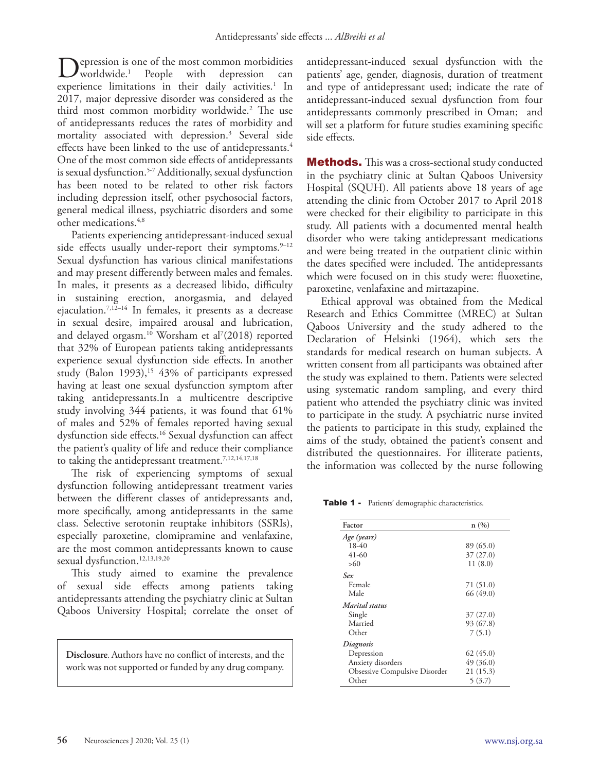epression is one of the most common morbidities<br>worldwide.<sup>1</sup> People with depression can  $\boldsymbol{J}$  worldwide.<sup>1</sup> depression experience limitations in their daily activities.<sup>1</sup> In 2017, major depressive disorder was considered as the third most common morbidity worldwide.2 The use of antidepressants reduces the rates of morbidity and mortality associated with depression.3 Several side effects have been linked to the use of antidepressants.<sup>4</sup> One of the most common side effects of antidepressants is sexual dysfunction.5-7 Additionally, sexual dysfunction has been noted to be related to other risk factors including depression itself, other psychosocial factors, general medical illness, psychiatric disorders and some other medications.4,8

Patients experiencing antidepressant-induced sexual side effects usually under-report their symptoms.<sup>9-12</sup> Sexual dysfunction has various clinical manifestations and may present differently between males and females. In males, it presents as a decreased libido, difficulty in sustaining erection, anorgasmia, and delayed ejaculation.7,12–14 In females, it presents as a decrease in sexual desire, impaired arousal and lubrication, and delayed orgasm.<sup>10</sup> Worsham et al<sup>7</sup>(2018) reported that 32% of European patients taking antidepressants experience sexual dysfunction side effects. In another study (Balon 1993), 15 43% of participants expressed having at least one sexual dysfunction symptom after taking antidepressants.In a multicentre descriptive study involving 344 patients, it was found that 61% of males and 52% of females reported having sexual dysfunction side effects.<sup>16</sup> Sexual dysfunction can affect the patient's quality of life and reduce their compliance to taking the antidepressant treatment.<sup>7,12,14,17,18</sup>

The risk of experiencing symptoms of sexual dysfunction following antidepressant treatment varies between the different classes of antidepressants and, more specifically, among antidepressants in the same class. Selective serotonin reuptake inhibitors (SSRIs), especially paroxetine, clomipramine and venlafaxine, are the most common antidepressants known to cause sexual dysfunction.<sup>12,13,19,20</sup>

This study aimed to examine the prevalence of sexual side effects among patients taking antidepressants attending the psychiatry clinic at Sultan Qaboos University Hospital; correlate the onset of

**Disclosure**. Authors have no conflict of interests, and the work was not supported or funded by any drug company.

antidepressant-induced sexual dysfunction with the patients' age, gender, diagnosis, duration of treatment and type of antidepressant used; indicate the rate of antidepressant-induced sexual dysfunction from four antidepressants commonly prescribed in Oman; and will set a platform for future studies examining specific side effects.

**Methods.** This was a cross-sectional study conducted in the psychiatry clinic at Sultan Qaboos University Hospital (SQUH). All patients above 18 years of age attending the clinic from October 2017 to April 2018 were checked for their eligibility to participate in this study. All patients with a documented mental health disorder who were taking antidepressant medications and were being treated in the outpatient clinic within the dates specified were included. The antidepressants which were focused on in this study were: fluoxetine, paroxetine, venlafaxine and mirtazapine.

Ethical approval was obtained from the Medical Research and Ethics Committee (MREC) at Sultan Qaboos University and the study adhered to the Declaration of Helsinki (1964), which sets the standards for medical research on human subjects. A written consent from all participants was obtained after the study was explained to them. Patients were selected using systematic random sampling, and every third patient who attended the psychiatry clinic was invited to participate in the study. A psychiatric nurse invited the patients to participate in this study, explained the aims of the study, obtained the patient's consent and distributed the questionnaires. For illiterate patients, the information was collected by the nurse following

Table 1 - Patients' demographic characteristics.

| Factor                               | n(%)      |  |
|--------------------------------------|-----------|--|
| Age (years)                          |           |  |
| $18-40$                              | 89 (65.0) |  |
| $41-60$                              | 37(27.0)  |  |
| >60                                  | 11(8.0)   |  |
| Sex                                  |           |  |
| Female                               | 71(51.0)  |  |
| Male                                 | 66(49.0)  |  |
| Marital status                       |           |  |
| Single                               | 37(27.0)  |  |
| Married                              | 93 (67.8) |  |
| Other                                | 7(5.1)    |  |
| Diagnosis                            |           |  |
| Depression                           | 62(45.0)  |  |
| Anxiety disorders                    | 49(36.0)  |  |
| <b>Obsessive Compulsive Disorder</b> | 21 (15.3) |  |
| Other                                | 5(3.7)    |  |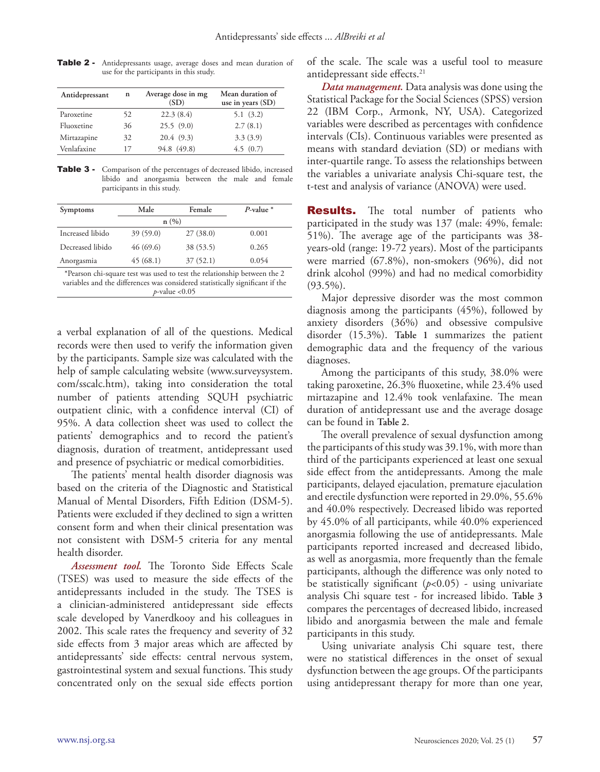| Antidepressant | n  | Average dose in mg<br>(SD) | Mean duration of<br>use in years $(SD)$ |
|----------------|----|----------------------------|-----------------------------------------|
| Paroxetine     | 52 | 22.3(8.4)                  | 5.1(3.2)                                |
| Fluoxetine     | 36 | 25.5(9.0)                  | 2.7(8.1)                                |
| Mirtazapine    | 32 | 20.4(9.3)                  | 3.3(3.9)                                |
| Venlafaxine    | 17 | 94.8 (49.8)                | 4.5(0.7)                                |

Table 2 - Antidepressants usage, average doses and mean duration of use for the participants in this study.

Table 3 - Comparison of the percentages of decreased libido, increased libido and anorgasmia between the male and female participants in this study.

| Symptoms                                                                                                                                                  | Male     | Female    | $P$ -value $*$ |  |  |  |
|-----------------------------------------------------------------------------------------------------------------------------------------------------------|----------|-----------|----------------|--|--|--|
|                                                                                                                                                           | n(%)     |           |                |  |  |  |
| Increased libido                                                                                                                                          | 39(59.0) | 27(38.0)  | 0.001          |  |  |  |
| Decreased libido                                                                                                                                          | 46(69.6) | 38 (53.5) | 0.265          |  |  |  |
| Anorgasmia                                                                                                                                                | 45(68.1) | 37(52.1)  | 0.054          |  |  |  |
| *Pearson chi-square test was used to test the relationship between the 2<br>variables and the differences was considered statistically significant if the |          |           |                |  |  |  |

*p*-value <0.05

a verbal explanation of all of the questions. Medical records were then used to verify the information given by the participants. Sample size was calculated with the help of sample calculating website (www.surveysystem. com/sscalc.htm), taking into consideration the total number of patients attending SQUH psychiatric outpatient clinic, with a confidence interval (CI) of 95%. A data collection sheet was used to collect the patients' demographics and to record the patient's diagnosis, duration of treatment, antidepressant used and presence of psychiatric or medical comorbidities.

The patients' mental health disorder diagnosis was based on the criteria of the Diagnostic and Statistical Manual of Mental Disorders, Fifth Edition (DSM-5). Patients were excluded if they declined to sign a written consent form and when their clinical presentation was not consistent with DSM-5 criteria for any mental health disorder.

*Assessment tool.* The Toronto Side Effects Scale (TSES) was used to measure the side effects of the antidepressants included in the study. The TSES is a clinician-administered antidepressant side effects scale developed by Vanerdkooy and his colleagues in 2002. This scale rates the frequency and severity of 32 side effects from 3 major areas which are affected by antidepressants' side effects: central nervous system, gastrointestinal system and sexual functions. This study concentrated only on the sexual side effects portion of the scale. The scale was a useful tool to measure antidepressant side effects.<sup>21</sup>

*Data management.* Data analysis was done using the Statistical Package for the Social Sciences (SPSS) version 22 (IBM Corp., Armonk, NY, USA). Categorized variables were described as percentages with confidence intervals (CIs). Continuous variables were presented as means with standard deviation (SD) or medians with inter-quartile range. To assess the relationships between the variables a univariate analysis Chi-square test, the t-test and analysis of variance (ANOVA) were used.

**Results.** The total number of patients who participated in the study was 137 (male: 49%, female: 51%). The average age of the participants was 38 years-old (range: 19-72 years). Most of the participants were married (67.8%), non-smokers (96%), did not drink alcohol (99%) and had no medical comorbidity  $(93.5\%)$ .

Major depressive disorder was the most common diagnosis among the participants (45%), followed by anxiety disorders (36%) and obsessive compulsive disorder (15.3%). **Table 1** summarizes the patient demographic data and the frequency of the various diagnoses.

Among the participants of this study, 38.0% were taking paroxetine, 26.3% fluoxetine, while 23.4% used mirtazapine and 12.4% took venlafaxine. The mean duration of antidepressant use and the average dosage can be found in **Table 2**.

The overall prevalence of sexual dysfunction among the participants of this study was 39.1%, with more than third of the participants experienced at least one sexual side effect from the antidepressants. Among the male participants, delayed ejaculation, premature ejaculation and erectile dysfunction were reported in 29.0%, 55.6% and 40.0% respectively. Decreased libido was reported by 45.0% of all participants, while 40.0% experienced anorgasmia following the use of antidepressants. Male participants reported increased and decreased libido, as well as anorgasmia, more frequently than the female participants, although the difference was only noted to be statistically significant (*p*<0.05) - using univariate analysis Chi square test - for increased libido. **Table 3**  compares the percentages of decreased libido, increased libido and anorgasmia between the male and female participants in this study.

Using univariate analysis Chi square test, there were no statistical differences in the onset of sexual dysfunction between the age groups. Of the participants using antidepressant therapy for more than one year,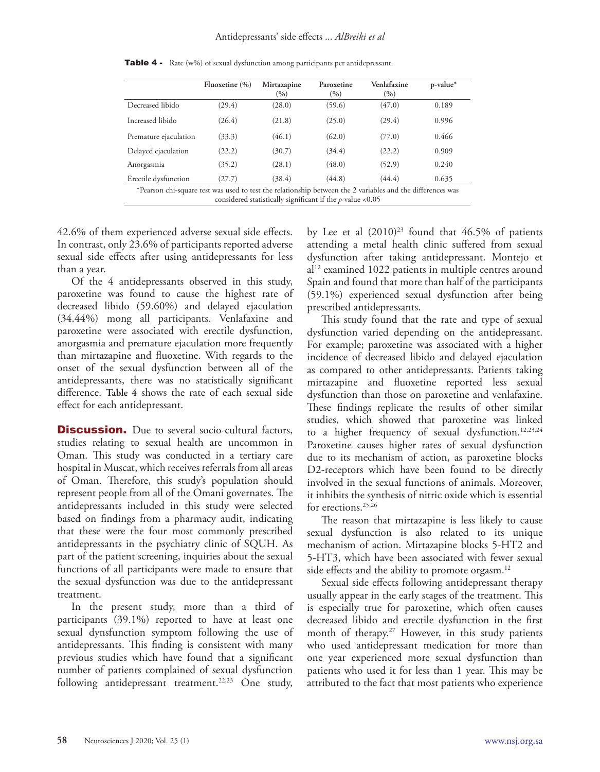|                                                                                                                                                                            | Fluoxetine $(\% )$ | Mirtazapine<br>$\frac{9}{6}$ | Paroxetine<br>(9/0) | Venlafaxine<br>(9/0) | p-value* |  |
|----------------------------------------------------------------------------------------------------------------------------------------------------------------------------|--------------------|------------------------------|---------------------|----------------------|----------|--|
| Decreased libido                                                                                                                                                           | (29.4)             | (28.0)                       | (59.6)              | (47.0)               | 0.189    |  |
| Increased libido                                                                                                                                                           | (26.4)             | (21.8)                       | (25.0)              | (29.4)               | 0.996    |  |
| Premature ejaculation                                                                                                                                                      | (33.3)             | (46.1)                       | (62.0)              | (77.0)               | 0.466    |  |
| Delayed ejaculation                                                                                                                                                        | (22.2)             | (30.7)                       | (34.4)              | (22.2)               | 0.909    |  |
| Anorgasmia                                                                                                                                                                 | (35.2)             | (28.1)                       | (48.0)              | (52.9)               | 0.240    |  |
| Erectile dysfunction                                                                                                                                                       | (27.7)             | (38.4)                       | (44.8)              | (44.4)               | 0.635    |  |
| *Pearson chi-square test was used to test the relationship between the 2 variables and the differences was<br>considered statistically significant if the $p$ -value <0.05 |                    |                              |                     |                      |          |  |

Table 4 - Rate (w%) of sexual dysfunction among participants per antidepressant.

42.6% of them experienced adverse sexual side effects. In contrast, only 23.6% of participants reported adverse sexual side effects after using antidepressants for less than a year.

Of the 4 antidepressants observed in this study, paroxetine was found to cause the highest rate of decreased libido (59.60%) and delayed ejaculation (34.44%) mong all participants. Venlafaxine and paroxetine were associated with erectile dysfunction, anorgasmia and premature ejaculation more frequently than mirtazapine and fluoxetine. With regards to the onset of the sexual dysfunction between all of the antidepressants, there was no statistically significant difference. **Table 4** shows the rate of each sexual side effect for each antidepressant.

**Discussion.** Due to several socio-cultural factors, studies relating to sexual health are uncommon in Oman. This study was conducted in a tertiary care hospital in Muscat, which receives referrals from all areas of Oman. Therefore, this study's population should represent people from all of the Omani governates. The antidepressants included in this study were selected based on findings from a pharmacy audit, indicating that these were the four most commonly prescribed antidepressants in the psychiatry clinic of SQUH. As part of the patient screening, inquiries about the sexual functions of all participants were made to ensure that the sexual dysfunction was due to the antidepressant treatment.

In the present study, more than a third of participants (39.1%) reported to have at least one sexual dynsfunction symptom following the use of antidepressants. This finding is consistent with many previous studies which have found that a significant number of patients complained of sexual dysfunction following antidepressant treatment.<sup>22,23</sup> One study,

by Lee et al (2010) 23 found that 46.5% of patients attending a metal health clinic suffered from sexual dysfunction after taking antidepressant. Montejo et al<sup>12</sup> examined 1022 patients in multiple centres around Spain and found that more than half of the participants (59.1%) experienced sexual dysfunction after being prescribed antidepressants.

This study found that the rate and type of sexual dysfunction varied depending on the antidepressant. For example; paroxetine was associated with a higher incidence of decreased libido and delayed ejaculation as compared to other antidepressants. Patients taking mirtazapine and fluoxetine reported less sexual dysfunction than those on paroxetine and venlafaxine. These findings replicate the results of other similar studies, which showed that paroxetine was linked to a higher frequency of sexual dysfunction.<sup>12,23,24</sup> Paroxetine causes higher rates of sexual dysfunction due to its mechanism of action, as paroxetine blocks D2-receptors which have been found to be directly involved in the sexual functions of animals. Moreover, it inhibits the synthesis of nitric oxide which is essential for erections.<sup>25,26</sup>

The reason that mirtazapine is less likely to cause sexual dysfunction is also related to its unique mechanism of action. Mirtazapine blocks 5-HT2 and 5-HT3, which have been associated with fewer sexual side effects and the ability to promote orgasm.<sup>12</sup>

Sexual side effects following antidepressant therapy usually appear in the early stages of the treatment. This is especially true for paroxetine, which often causes decreased libido and erectile dysfunction in the first month of therapy.<sup>27</sup> However, in this study patients who used antidepressant medication for more than one year experienced more sexual dysfunction than patients who used it for less than 1 year. This may be attributed to the fact that most patients who experience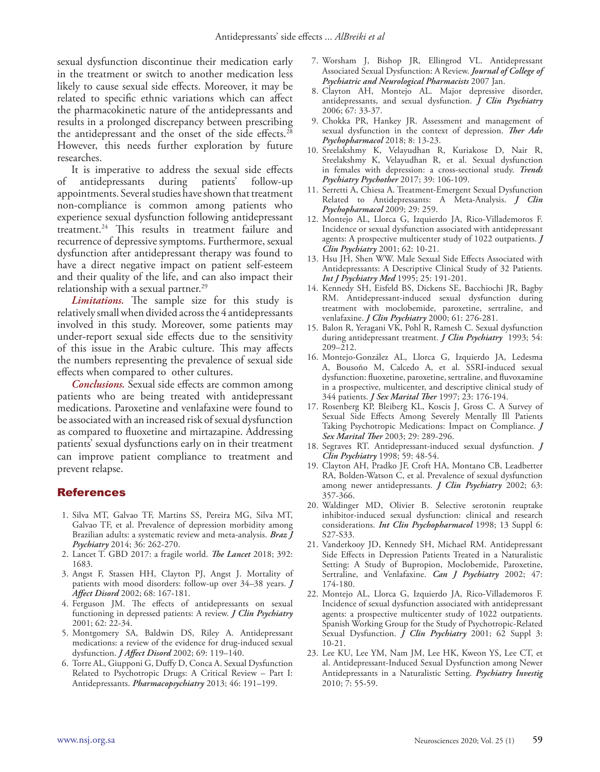sexual dysfunction discontinue their medication early in the treatment or switch to another medication less likely to cause sexual side effects. Moreover, it may be related to specific ethnic variations which can affect the pharmacokinetic nature of the antidepressants and results in a prolonged discrepancy between prescribing the antidepressant and the onset of the side effects.<sup>28</sup> However, this needs further exploration by future researches.

It is imperative to address the sexual side effects of antidepressants during patients' follow-up appointments. Several studies have shown that treatment non-compliance is common among patients who experience sexual dysfunction following antidepressant treatment.24 This results in treatment failure and recurrence of depressive symptoms. Furthermore, sexual dysfunction after antidepressant therapy was found to have a direct negative impact on patient self-esteem and their quality of the life, and can also impact their relationship with a sexual partner.<sup>29</sup>

*Limitations.* The sample size for this study is relatively small when divided across the 4 antidepressants involved in this study. Moreover, some patients may under-report sexual side effects due to the sensitivity of this issue in the Arabic culture. This may affects the numbers representing the prevalence of sexual side effects when compared to other cultures.

*Conclusions.* Sexual side effects are common among patients who are being treated with antidepressant medications. Paroxetine and venlafaxine were found to be associated with an increased risk of sexual dysfunction as compared to fluoxetine and mirtazapine. Addressing patients' sexual dysfunctions early on in their treatment can improve patient compliance to treatment and prevent relapse.

### References

- 1. Silva MT, Galvao TF, Martins SS, Pereira MG, Silva MT, Galvao TF, et al. Prevalence of depression morbidity among Brazilian adults: a systematic review and meta-analysis. *Braz J Psychiatry* 2014; 36: 262-270.
- 2. Lancet T. GBD 2017: a fragile world. *The Lancet* 2018; 392: 1683.
- 3. Angst F, Stassen HH, Clayton PJ, Angst J. Mortality of patients with mood disorders: follow-up over 34–38 years. *J Affect Disord* 2002; 68: 167-181.
- 4. Ferguson JM. The effects of antidepressants on sexual functioning in depressed patients: A review. *J Clin Psychiatry*  2001; 62: 22-34.
- 5. Montgomery SA, Baldwin DS, Riley A. Antidepressant medications: a review of the evidence for drug-induced sexual dysfunction. *J Affect Disord* 2002; 69: 119–140.
- 6. Torre AL, Giupponi G, Duffy D, Conca A. Sexual Dysfunction Related to Psychotropic Drugs: A Critical Review – Part I: Antidepressants. *Pharmacopsychiatry* 2013; 46: 191–199.
- 7. Worsham J, Bishop JR, Ellingrod VL. Antidepressant Associated Sexual Dysfunction: A Review. *Journal of College of Psychiatric and Neurological Pharmacists* 2007 Jan.
- 8. Clayton AH, Montejo AL. Major depressive disorder, antidepressants, and sexual dysfunction. *J Clin Psychiatry* 2006; 67: 33-37.
- 9. Chokka PR, Hankey JR. Assessment and management of sexual dysfunction in the context of depression. *Ther Adv Psychopharmacol* 2018; 8: 13-23.
- 10. Sreelakshmy K, Velayudhan R, Kuriakose D, Nair R, Sreelakshmy K, Velayudhan R, et al. Sexual dysfunction in females with depression: a cross-sectional study. *Trends Psychiatry Psychother* 2017; 39: 106-109.
- 11. Serretti A, Chiesa A. Treatment-Emergent Sexual Dysfunction Related to Antidepressants: A Meta-Analysis. *J Clin Psychopharmacol* 2009; 29: 259.
- 12. Montejo AL, Llorca G, Izquierdo JA, Rico-Villademoros F. Incidence or sexual dysfunction associated with antidepressant agents: A prospective multicenter study of 1022 outpatients. *J Clin Psychiatry* 2001; 62: 10-21.
- 13. Hsu JH, Shen WW. Male Sexual Side Effects Associated with Antidepressants: A Descriptive Clinical Study of 32 Patients. *Int J Psychiatry Med* 1995; 25: 191-201.
- 14. Kennedy SH, Eisfeld BS, Dickens SE, Bacchiochi JR, Bagby RM. Antidepressant-induced sexual dysfunction during treatment with moclobemide, paroxetine, sertraline, and venlafaxine. *J Clin Psychiatry* 2000; 61: 276-281.
- 15. Balon R, Yeragani VK, Pohl R, Ramesh C. Sexual dysfunction during antidepressant treatment. *J Clin Psychiatry* 1993; 54:  $209 - 212$ .
- 16. Montejo-González AL, Llorca G, Izquierdo JA, Ledesma A, Bousoño M, Calcedo A, et al. SSRI-induced sexual dysfunction: fluoxetine, paroxetine, sertraline, and fluvoxamine in a prospective, multicenter, and descriptive clinical study of 344 patients. *J Sex Marital Ther* 1997; 23: 176-194.
- 17. Rosenberg KP, Bleiberg KL, Koscis J, Gross C. A Survey of Sexual Side Effects Among Severely Mentally Ill Patients Taking Psychotropic Medications: Impact on Compliance. *J Sex Marital Ther* 2003; 29: 289-296.
- 18. Segraves RT. Antidepressant-induced sexual dysfunction. *J Clin Psychiatry* 1998; 59: 48-54.
- 19. Clayton AH, Pradko JF, Croft HA, Montano CB, Leadbetter RA, Bolden-Watson C, et al. Prevalence of sexual dysfunction among newer antidepressants. *J Clin Psychiatry* 2002; 63: 357-366.
- 20. Waldinger MD, Olivier B. Selective serotonin reuptake inhibitor-induced sexual dysfunction: clinical and research considerations. *Int Clin Psychopharmacol* 1998; 13 Suppl 6: S27-S33.
- 21. Vanderkooy JD, Kennedy SH, Michael RM. Antidepressant Side Effects in Depression Patients Treated in a Naturalistic Setting: A Study of Bupropion, Moclobemide, Paroxetine, Sertraline, and Venlafaxine. *Can J Psychiatry* 2002; 47: 174-180.
- 22. Montejo AL, Llorca G, Izquierdo JA, Rico-Villademoros F. Incidence of sexual dysfunction associated with antidepressant agents: a prospective multicenter study of 1022 outpatients. Spanish Working Group for the Study of Psychotropic-Related Sexual Dysfunction. *J Clin Psychiatry* 2001; 62 Suppl 3: 10-21.
- 23. Lee KU, Lee YM, Nam JM, Lee HK, Kweon YS, Lee CT, et al. Antidepressant-Induced Sexual Dysfunction among Newer Antidepressants in a Naturalistic Setting. *Psychiatry Investig*  2010; 7: 55-59.